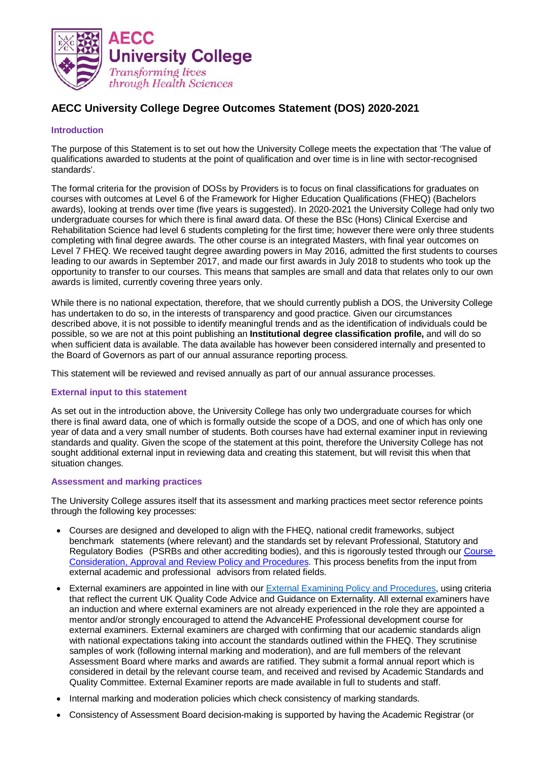

# **AECC University College Degree Outcomes Statement (DOS) 2020-2021**

### **Introduction**

The purpose of this Statement is to set out how the University College meets the expectation that 'The value of qualifications awarded to students at the point of qualification and over time is in line with sector-recognised standards'.

The formal criteria for the provision of DOSs by Providers is to focus on final classifications for graduates on courses with outcomes at Level 6 of the Framework for Higher Education Qualifications (FHEQ) (Bachelors awards), looking at trends over time (five years is suggested). In 2020-2021 the University College had only two undergraduate courses for which there is final award data. Of these the BSc (Hons) Clinical Exercise and Rehabilitation Science had level 6 students completing for the first time; however there were only three students completing with final degree awards. The other course is an integrated Masters, with final year outcomes on Level 7 FHEQ. We received taught degree awarding powers in May 2016, admitted the first students to courses leading to our awards in September 2017, and made our first awards in July 2018 to students who took up the opportunity to transfer to our courses. This means that samples are small and data that relates only to our own awards is limited, currently covering three years only.

While there is no national expectation, therefore, that we should currently publish a DOS, the University College has undertaken to do so, in the interests of transparency and good practice. Given our circumstances described above, it is not possible to identify meaningful trends and as the identification of individuals could be possible, so we are not at this point publishing an **Institutional degree classification profile,** and will do so when sufficient data is available. The data available has however been considered internally and presented to the Board of Governors as part of our annual assurance reporting process.

This statement will be reviewed and revised annually as part of our annual assurance processes.

#### **External input to this statement**

As set out in the introduction above, the University College has only two undergraduate courses for which there is final award data, one of which is formally outside the scope of a DOS, and one of which has only one year of data and a very small number of students. Both courses have had external examiner input in reviewing standards and quality. Given the scope of the statement at this point, therefore the University College has not sought additional external input in reviewing data and creating this statement, but will revisit this when that situation changes.

#### **Assessment and marking practices**

The University College assures itself that its assessment and marking practices meet sector reference points through the following key processes:

- Courses are designed and developed to align with the FHEQ, national credit frameworks, subject benchmark statements (where relevant) and the standards set by relevant Professional, Statutory and Regulatory Bodies (PSRBs and other accrediting bodies), and this is rigorously tested through our [Course](https://www.aecc.ac.uk/media/9622/course-consideration-approval-review-policy-v22-sept2021.pdf)  [Consideration, Approval and Review Policy and Procedures.](https://www.aecc.ac.uk/media/9622/course-consideration-approval-review-policy-v22-sept2021.pdf) This process benefits from the input from external academic and professional advisors from related fields.
- External examiners are appointed in line with our External [Examining Policy](https://www.aecc.ac.uk/media/8078/054-ee_policy_v20_2019-1.pdf) and Procedures, using criteria that reflect the current UK Quality Code Advice and Guidance on Externality. All external examiners have an induction and where external examiners are not already experienced in the role they are appointed a mentor and/or strongly encouraged to attend the AdvanceHE Professional development course for external examiners. External examiners are charged with confirming that our academic standards align with national expectations taking into account the standards outlined within the FHEQ. They scrutinise samples of work (following internal marking and moderation), and are full members of the relevant Assessment Board where marks and awards are ratified. They submit a formal annual report which is considered in detail by the relevant course team, and received and revised by Academic Standards and Quality Committee. External Examiner reports are made available in full to students and staff.
- Internal marking and moderation policies which check consistency of marking standards.
- Consistency of Assessment Board decision-making is supported by having the Academic Registrar (or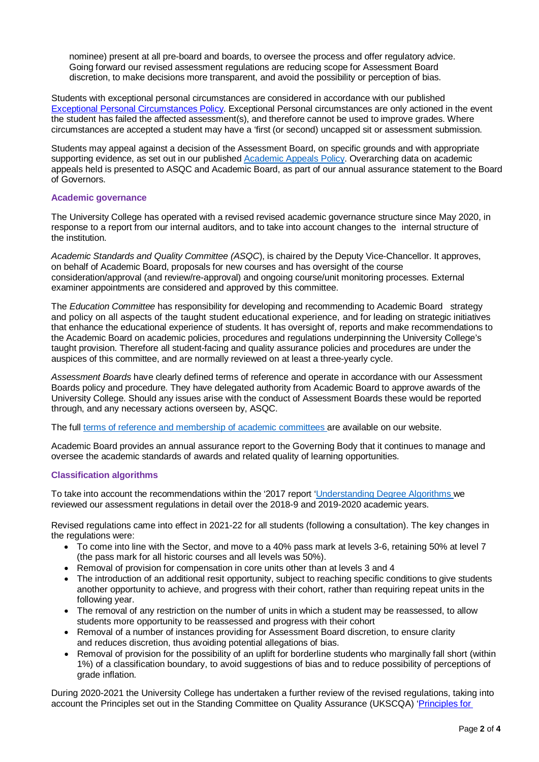nominee) present at all pre-board and boards, to oversee the process and offer regulatory advice. Going forward our revised assessment regulations are reducing scope for Assessment Board discretion, to make decisions more transparent, and avoid the possibility or perception of bias.

Students with exceptional personal circumstances are considered in accordance with our published [Exceptional Personal Circumstances Policy.](https://www.aecc.ac.uk/media/9204/exceptional-personal-circumstances-policy-v10.pdf) Exceptional Personal circumstances are only actioned in the event the student has failed the affected assessment(s), and therefore cannot be used to improve grades. Where circumstances are accepted a student may have a 'first (or second) uncapped sit or assessment submission.

Students may appeal against a decision of the Assessment Board, on specific grounds and with appropriate supporting evidence, as set out in our published [Academic](hhttps://www.aecc.ac.uk/media/9721/academic-appeals-policy-v-30-sept-2021.pdf) Appeals Policy. Overarching data on academic appeals held is presented to ASQC and Academic Board, as part of our annual assurance statement to the Board of Governors.

#### **Academic governance**

The University College has operated with a revised revised academic governance structure since May 2020, in response to a report from our internal auditors, and to take into account changes to the internal structure of the institution.

*Academic Standards and Quality Committee (ASQC*), is chaired by the Deputy Vice-Chancellor. It approves, on behalf of Academic Board, proposals for new courses and has oversight of the course consideration/approval (and review/re-approval) and ongoing course/unit monitoring processes. External examiner appointments are considered and approved by this committee.

The *Education Committee* has responsibility for developing and recommending to Academic Board strategy and policy on all aspects of the taught student educational experience, and for leading on strategic initiatives that enhance the educational experience of students. It has oversight of, reports and make recommendations to the Academic Board on academic policies, procedures and regulations underpinning the University College's taught provision. Therefore all student-facing and quality assurance policies and procedures are under the auspices of this committee, and are normally reviewed on at least a three-yearly cycle.

*Assessment Boards* have clearly defined terms of reference and operate in accordance with our Assessment Boards policy and procedure. They have delegated authority from Academic Board to approve awards of the University College. Should any issues arise with the conduct of Assessment Boards these would be reported through, and any necessary actions overseen by, ASQC.

The full terms of reference [and membership](https://www.aecc.ac.uk/media/8378/academic-board-committees-membership-and-tor-v60-may2020.pdf) of academic committees are available on our website.

Academic Board provides an annual assurance report to the Governing Body that it continues to manage and oversee the academic standards of awards and related quality of learning opportunities.

# **Classification algorithms**

To take into account the recommendations within the '2017 report ['Understanding](https://guildhe.ac.uk/wp-content/uploads/2017/10/understanding-degree-algorithms.pdf) Degree Algorithms we reviewed our assessment regulations in detail over the 2018-9 and 2019-2020 academic years.

Revised regulations came into effect in 2021-22 for all students (following a consultation). The key changes in the regulations were:

- To come into line with the Sector, and move to a 40% pass mark at levels 3-6, retaining 50% at level 7 (the pass mark for all historic courses and all levels was 50%).
- Removal of provision for compensation in core units other than at levels 3 and 4
- The introduction of an additional resit opportunity, subject to reaching specific conditions to give students another opportunity to achieve, and progress with their cohort, rather than requiring repeat units in the following year.
- The removal of any restriction on the number of units in which a student may be reassessed, to allow students more opportunity to be reassessed and progress with their cohort
- Removal of a number of instances providing for Assessment Board discretion, to ensure clarity and reduces discretion, thus avoiding potential allegations of bias.
- Removal of provision for the possibility of an uplift for borderline students who marginally fall short (within 1%) of a classification boundary, to avoid suggestions of bias and to reduce possibility of perceptions of grade inflation.

During 2020-2021 the University College has undertaken a further review of the revised regulations, taking into account the Principles set out in the Standing Committee on Quality Assurance (UKSCQA) ['Principles for](https://www.universitiesuk.ac.uk/policy-and-analysis/reports/Documents/2020/principles-effective-degree-algorithm-design.pdf.)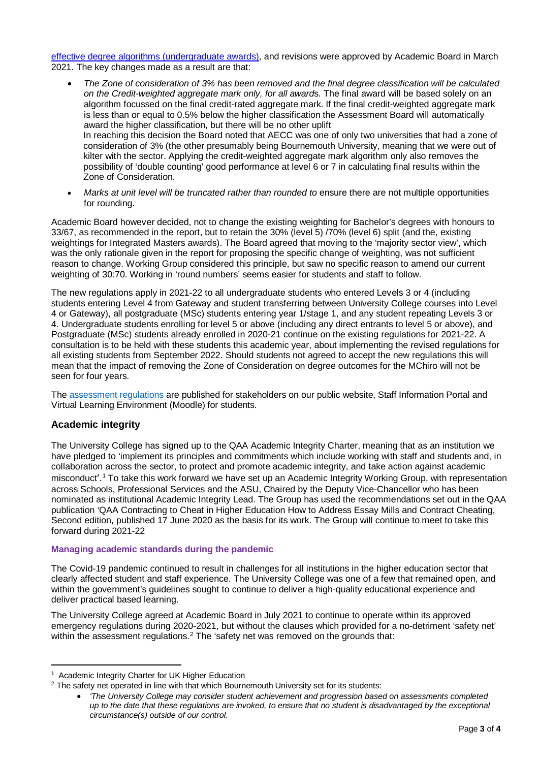[effective degree algorithms \(undergraduate awards\),](https://www.universitiesuk.ac.uk/policy-and-analysis/reports/Documents/2020/principles-effective-degree-algorithm-design.pdf.) and revisions were approved by Academic Board in March 2021. The key changes made as a result are that:

- *The Zone of consideration of 3% has been removed and the final degree classification will be calculated on the Credit-weighted aggregate mark only, for all award*s. The final award will be based solely on an algorithm focussed on the final credit-rated aggregate mark. If the final credit-weighted aggregate mark is less than or equal to 0.5% below the higher classification the Assessment Board will automatically award the higher classification, but there will be no other uplift In reaching this decision the Board noted that AECC was one of only two universities that had a zone of consideration of 3% (the other presumably being Bournemouth University, meaning that we were out of kilter with the sector. Applying the credit-weighted aggregate mark algorithm only also removes the possibility of 'double counting' good performance at level 6 or 7 in calculating final results within the Zone of Consideration.
- *Marks at unit level will be truncated rather than rounded to* ensure there are not multiple opportunities for rounding.

Academic Board however decided, not to change the existing weighting for Bachelor's degrees with honours to 33/67, as recommended in the report, but to retain the 30% (level 5) /70% (level 6) split (and the, existing weightings for Integrated Masters awards). The Board agreed that moving to the 'majority sector view', which was the only rationale given in the report for proposing the specific change of weighting, was not sufficient reason to change. Working Group considered this principle, but saw no specific reason to amend our current weighting of 30:70. Working in 'round numbers' seems easier for students and staff to follow.

The new regulations apply in 2021-22 to all undergraduate students who entered Levels 3 or 4 (including students entering Level 4 from Gateway and student transferring between University College courses into Level 4 or Gateway), all postgraduate (MSc) students entering year 1/stage 1, and any student repeating Levels 3 or 4. Undergraduate students enrolling for level 5 or above (including any direct entrants to level 5 or above), and Postgraduate (MSc) students already enrolled in 2020-21 continue on the existing regulations for 2021-22. A consultation is to be held with these students this academic year, about implementing the revised regulations for all existing students from September 2022. Should students not agreed to accept the new regulations this will mean that the impact of removing the Zone of Consideration on degree outcomes for the MChiro will not be seen for four years.

The [assessment regulations](https://www.aecc.ac.uk/media/9628/assessment_regulations-v23-news-students-ay2021-22.pdf) are published for stakeholders on our public website, Staff Information Portal and Virtual Learning Environment (Moodle) for students.

# **Academic integrity**

The University College has signed up to the QAA Academic Integrity Charter, meaning that as an institution we have pledged to 'implement its principles and commitments which include working with staff and students and, in collaboration across the sector, to protect and promote academic integrity, and take action against academic misconduct'.[1](#page-2-0) To take this work forward we have set up an Academic Integrity Working Group, with representation across Schools, Professional Services and the ASU, Chaired by the Deputy Vice-Chancellor who has been nominated as institutional Academic Integrity Lead. The Group has used the recommendations set out in the QAA publication 'QAA Contracting to Cheat in Higher Education How to Address Essay Mills and Contract Cheating, Second edition, published 17 June 2020 as the basis for its work. The Group will continue to meet to take this forward during 2021-22

# **Managing academic standards during the pandemic**

The Covid-19 pandemic continued to result in challenges for all institutions in the higher education sector that clearly affected student and staff experience. The University College was one of a few that remained open, and within the government's guidelines sought to continue to deliver a high-quality educational experience and deliver practical based learning.

The University College agreed at Academic Board in July 2021 to continue to operate within its approved emergency regulations during 2020-2021, but without the clauses which provided for a no-detriment 'safety net' within the assessment regulations.<sup>[2](#page-2-1)</sup> The 'safety net was removed on the grounds that:

<span id="page-2-0"></span> $\frac{1}{1}$ <sup>1</sup> Academic Integrity Charter for UK Higher Education

<span id="page-2-1"></span><sup>&</sup>lt;sup>2</sup> The safety net operated in line with that which Bournemouth University set for its students:

<sup>•</sup> *'The University College may consider student achievement and progression based on assessments completed up to the date that these regulations are invoked, to ensure that no student is disadvantaged by the exceptional circumstance(s) outside of our control.*